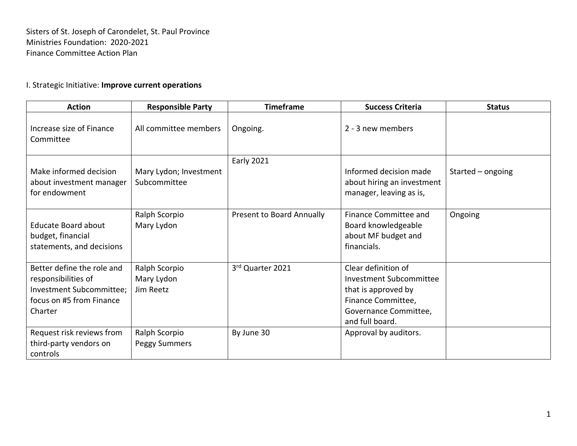Sisters of St. Joseph of Carondelet, St. Paul Province Ministries Foundation: 2020-2021 Finance Committee Action Plan

## I. Strategic Initiative: **Improve current operations**

| <b>Action</b>                                                                                                        | <b>Responsible Party</b>                 | <b>Timeframe</b>          | <b>Success Criteria</b>                                                                                                                        | <b>Status</b>     |
|----------------------------------------------------------------------------------------------------------------------|------------------------------------------|---------------------------|------------------------------------------------------------------------------------------------------------------------------------------------|-------------------|
| Increase size of Finance<br>Committee                                                                                | All committee members                    | Ongoing.                  | 2 - 3 new members                                                                                                                              |                   |
| Make informed decision<br>about investment manager<br>for endowment                                                  | Mary Lydon; Investment<br>Subcommittee   | <b>Early 2021</b>         | Informed decision made<br>about hiring an investment<br>manager, leaving as is,                                                                | Started - ongoing |
| <b>Educate Board about</b><br>budget, financial<br>statements, and decisions                                         | Ralph Scorpio<br>Mary Lydon              | Present to Board Annually | Finance Committee and<br>Board knowledgeable<br>about MF budget and<br>financials.                                                             | Ongoing           |
| Better define the role and<br>responsibilities of<br>Investment Subcommittee;<br>focus on #5 from Finance<br>Charter | Ralph Scorpio<br>Mary Lydon<br>Jim Reetz | 3rd Quarter 2021          | Clear definition of<br><b>Investment Subcommittee</b><br>that is approved by<br>Finance Committee,<br>Governance Committee,<br>and full board. |                   |
| Request risk reviews from<br>third-party vendors on<br>controls                                                      | Ralph Scorpio<br>Peggy Summers           | By June 30                | Approval by auditors.                                                                                                                          |                   |